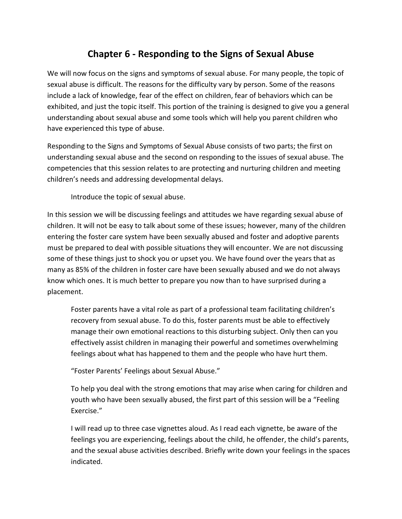# **Chapter 6 - Responding to the Signs of Sexual Abuse**

We will now focus on the signs and symptoms of sexual abuse. For many people, the topic of sexual abuse is difficult. The reasons for the difficulty vary by person. Some of the reasons include a lack of knowledge, fear of the effect on children, fear of behaviors which can be exhibited, and just the topic itself. This portion of the training is designed to give you a general understanding about sexual abuse and some tools which will help you parent children who have experienced this type of abuse.

Responding to the Signs and Symptoms of Sexual Abuse consists of two parts; the first on understanding sexual abuse and the second on responding to the issues of sexual abuse. The competencies that this session relates to are protecting and nurturing children and meeting children's needs and addressing developmental delays.

Introduce the topic of sexual abuse.

In this session we will be discussing feelings and attitudes we have regarding sexual abuse of children. It will not be easy to talk about some of these issues; however, many of the children entering the foster care system have been sexually abused and foster and adoptive parents must be prepared to deal with possible situations they will encounter. We are not discussing some of these things just to shock you or upset you. We have found over the years that as many as 85% of the children in foster care have been sexually abused and we do not always know which ones. It is much better to prepare you now than to have surprised during a placement.

Foster parents have a vital role as part of a professional team facilitating children's recovery from sexual abuse. To do this, foster parents must be able to effectively manage their own emotional reactions to this disturbing subject. Only then can you effectively assist children in managing their powerful and sometimes overwhelming feelings about what has happened to them and the people who have hurt them.

"Foster Parents' Feelings about Sexual Abuse."

To help you deal with the strong emotions that may arise when caring for children and youth who have been sexually abused, the first part of this session will be a "Feeling Exercise."

I will read up to three case vignettes aloud. As I read each vignette, be aware of the feelings you are experiencing, feelings about the child, he offender, the child's parents, and the sexual abuse activities described. Briefly write down your feelings in the spaces indicated.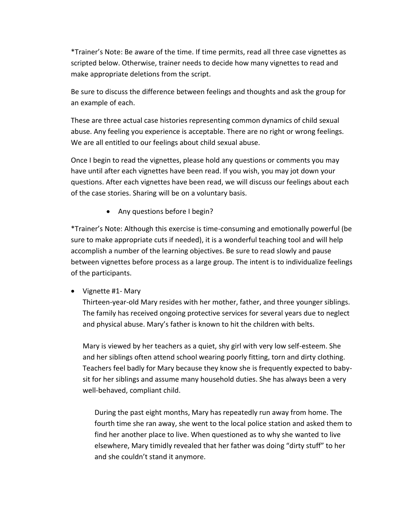\*Trainer's Note: Be aware of the time. If time permits, read all three case vignettes as scripted below. Otherwise, trainer needs to decide how many vignettes to read and make appropriate deletions from the script.

Be sure to discuss the difference between feelings and thoughts and ask the group for an example of each.

These are three actual case histories representing common dynamics of child sexual abuse. Any feeling you experience is acceptable. There are no right or wrong feelings. We are all entitled to our feelings about child sexual abuse.

Once I begin to read the vignettes, please hold any questions or comments you may have until after each vignettes have been read. If you wish, you may jot down your questions. After each vignettes have been read, we will discuss our feelings about each of the case stories. Sharing will be on a voluntary basis.

• Any questions before I begin?

\*Trainer's Note: Although this exercise is time-consuming and emotionally powerful (be sure to make appropriate cuts if needed), it is a wonderful teaching tool and will help accomplish a number of the learning objectives. Be sure to read slowly and pause between vignettes before process as a large group. The intent is to individualize feelings of the participants.

• Vignette #1- Mary

Thirteen-year-old Mary resides with her mother, father, and three younger siblings. The family has received ongoing protective services for several years due to neglect and physical abuse. Mary's father is known to hit the children with belts.

Mary is viewed by her teachers as a quiet, shy girl with very low self-esteem. She and her siblings often attend school wearing poorly fitting, torn and dirty clothing. Teachers feel badly for Mary because they know she is frequently expected to babysit for her siblings and assume many household duties. She has always been a very well-behaved, compliant child.

During the past eight months, Mary has repeatedly run away from home. The fourth time she ran away, she went to the local police station and asked them to find her another place to live. When questioned as to why she wanted to live elsewhere, Mary timidly revealed that her father was doing "dirty stuff" to her and she couldn't stand it anymore.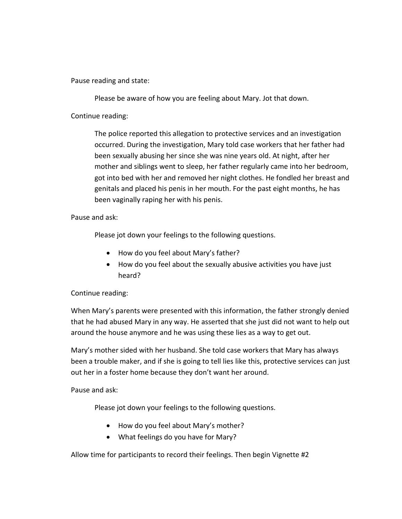Pause reading and state:

Please be aware of how you are feeling about Mary. Jot that down.

Continue reading:

The police reported this allegation to protective services and an investigation occurred. During the investigation, Mary told case workers that her father had been sexually abusing her since she was nine years old. At night, after her mother and siblings went to sleep, her father regularly came into her bedroom, got into bed with her and removed her night clothes. He fondled her breast and genitals and placed his penis in her mouth. For the past eight months, he has been vaginally raping her with his penis.

Pause and ask:

Please jot down your feelings to the following questions.

- How do you feel about Mary's father?
- How do you feel about the sexually abusive activities you have just heard?

#### Continue reading:

When Mary's parents were presented with this information, the father strongly denied that he had abused Mary in any way. He asserted that she just did not want to help out around the house anymore and he was using these lies as a way to get out.

Mary's mother sided with her husband. She told case workers that Mary has always been a trouble maker, and if she is going to tell lies like this, protective services can just out her in a foster home because they don't want her around.

Pause and ask:

Please jot down your feelings to the following questions.

- How do you feel about Mary's mother?
- What feelings do you have for Mary?

Allow time for participants to record their feelings. Then begin Vignette #2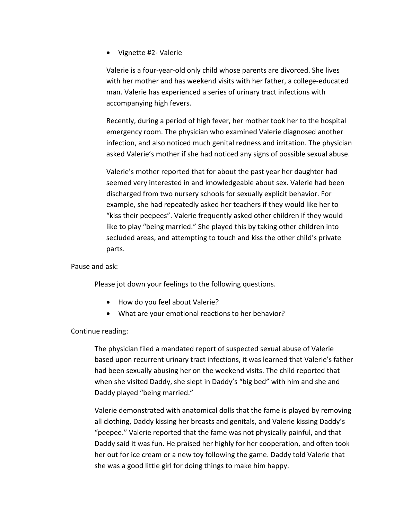Vignette #2- Valerie

Valerie is a four-year-old only child whose parents are divorced. She lives with her mother and has weekend visits with her father, a college-educated man. Valerie has experienced a series of urinary tract infections with accompanying high fevers.

Recently, during a period of high fever, her mother took her to the hospital emergency room. The physician who examined Valerie diagnosed another infection, and also noticed much genital redness and irritation. The physician asked Valerie's mother if she had noticed any signs of possible sexual abuse.

Valerie's mother reported that for about the past year her daughter had seemed very interested in and knowledgeable about sex. Valerie had been discharged from two nursery schools for sexually explicit behavior. For example, she had repeatedly asked her teachers if they would like her to "kiss their peepees". Valerie frequently asked other children if they would like to play "being married." She played this by taking other children into secluded areas, and attempting to touch and kiss the other child's private parts.

Pause and ask:

Please jot down your feelings to the following questions.

- How do you feel about Valerie?
- What are your emotional reactions to her behavior?

Continue reading:

The physician filed a mandated report of suspected sexual abuse of Valerie based upon recurrent urinary tract infections, it was learned that Valerie's father had been sexually abusing her on the weekend visits. The child reported that when she visited Daddy, she slept in Daddy's "big bed" with him and she and Daddy played "being married."

Valerie demonstrated with anatomical dolls that the fame is played by removing all clothing, Daddy kissing her breasts and genitals, and Valerie kissing Daddy's "peepee." Valerie reported that the fame was not physically painful, and that Daddy said it was fun. He praised her highly for her cooperation, and often took her out for ice cream or a new toy following the game. Daddy told Valerie that she was a good little girl for doing things to make him happy.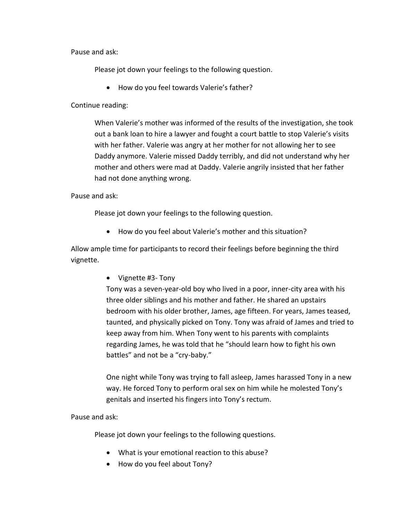Pause and ask:

Please jot down your feelings to the following question.

How do you feel towards Valerie's father?

Continue reading:

When Valerie's mother was informed of the results of the investigation, she took out a bank loan to hire a lawyer and fought a court battle to stop Valerie's visits with her father. Valerie was angry at her mother for not allowing her to see Daddy anymore. Valerie missed Daddy terribly, and did not understand why her mother and others were mad at Daddy. Valerie angrily insisted that her father had not done anything wrong.

Pause and ask:

Please jot down your feelings to the following question.

How do you feel about Valerie's mother and this situation?

Allow ample time for participants to record their feelings before beginning the third vignette.

• Vignette #3- Tony

Tony was a seven-year-old boy who lived in a poor, inner-city area with his three older siblings and his mother and father. He shared an upstairs bedroom with his older brother, James, age fifteen. For years, James teased, taunted, and physically picked on Tony. Tony was afraid of James and tried to keep away from him. When Tony went to his parents with complaints regarding James, he was told that he "should learn how to fight his own battles" and not be a "cry-baby."

One night while Tony was trying to fall asleep, James harassed Tony in a new way. He forced Tony to perform oral sex on him while he molested Tony's genitals and inserted his fingers into Tony's rectum.

Pause and ask:

Please jot down your feelings to the following questions.

- What is your emotional reaction to this abuse?
- How do you feel about Tony?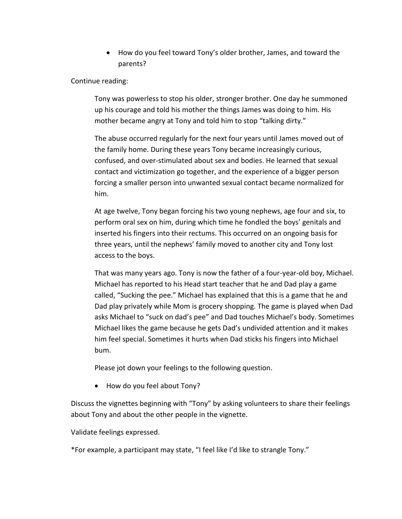How do you feel toward Tony's older brother, James, and toward the parents?

Continue reading:

Tony was powerless to stop his older, stronger brother. One day he summoned up his courage and told his mother the things James was doing to him. His mother became angry at Tony and told him to stop "talking dirty."

The abuse occurred regularly for the next four years until James moved out of the family home. During these years Tony became increasingly curious, confused, and over-stimulated about sex and bodies. He learned that sexual contact and victimization go together, and the experience of a bigger person forcing a smaller person into unwanted sexual contact became normalized for him.

At age twelve, Tony began forcing his two young nephews, age four and six, to perform oral sex on him, during which time he fondled the boys' genitals and inserted his fingers into their rectums. This occurred on an ongoing basis for three years, until the nephews' family moved to another city and Tony lost access to the boys.

That was many years ago. Tony is now the father of a four-year-old boy, Michael. Michael has reported to his Head start teacher that he and Dad play a game called, "Sucking the pee." Michael has explained that this is a game that he and Dad play privately while Mom is grocery shopping. The game is played when Dad asks Michael to "suck on dad's pee" and Dad touches Michael's body. Sometimes Michael likes the game because he gets Dad's undivided attention and it makes him feel special. Sometimes it hurts when Dad sticks his fingers into Michael bum.

Please jot down your feelings to the following question.

• How do you feel about Tony?

Discuss the vignettes beginning with "Tony" by asking volunteers to share their feelings about Tony and about the other people in the vignette.

Validate feelings expressed.

\*For example, a participant may state, "I feel like I'd like to strangle Tony."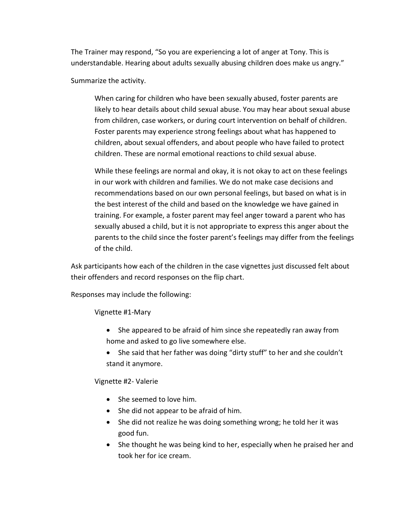The Trainer may respond, "So you are experiencing a lot of anger at Tony. This is understandable. Hearing about adults sexually abusing children does make us angry."

Summarize the activity.

When caring for children who have been sexually abused, foster parents are likely to hear details about child sexual abuse. You may hear about sexual abuse from children, case workers, or during court intervention on behalf of children. Foster parents may experience strong feelings about what has happened to children, about sexual offenders, and about people who have failed to protect children. These are normal emotional reactions to child sexual abuse.

While these feelings are normal and okay, it is not okay to act on these feelings in our work with children and families. We do not make case decisions and recommendations based on our own personal feelings, but based on what is in the best interest of the child and based on the knowledge we have gained in training. For example, a foster parent may feel anger toward a parent who has sexually abused a child, but it is not appropriate to express this anger about the parents to the child since the foster parent's feelings may differ from the feelings of the child.

Ask participants how each of the children in the case vignettes just discussed felt about their offenders and record responses on the flip chart.

Responses may include the following:

Vignette #1-Mary

- She appeared to be afraid of him since she repeatedly ran away from home and asked to go live somewhere else.
- She said that her father was doing "dirty stuff" to her and she couldn't stand it anymore.

Vignette #2- Valerie

- She seemed to love him.
- She did not appear to be afraid of him.
- She did not realize he was doing something wrong; he told her it was good fun.
- She thought he was being kind to her, especially when he praised her and took her for ice cream.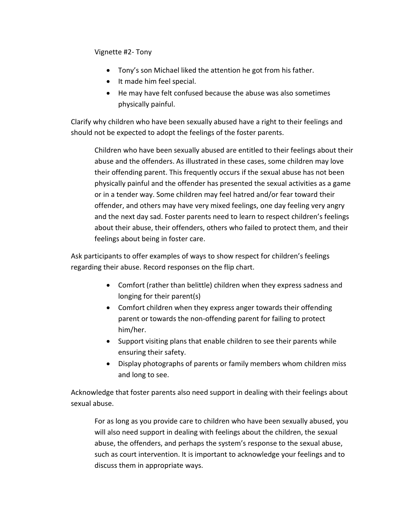Vignette #2- Tony

- Tony's son Michael liked the attention he got from his father.
- It made him feel special.
- He may have felt confused because the abuse was also sometimes physically painful.

Clarify why children who have been sexually abused have a right to their feelings and should not be expected to adopt the feelings of the foster parents.

Children who have been sexually abused are entitled to their feelings about their abuse and the offenders. As illustrated in these cases, some children may love their offending parent. This frequently occurs if the sexual abuse has not been physically painful and the offender has presented the sexual activities as a game or in a tender way. Some children may feel hatred and/or fear toward their offender, and others may have very mixed feelings, one day feeling very angry and the next day sad. Foster parents need to learn to respect children's feelings about their abuse, their offenders, others who failed to protect them, and their feelings about being in foster care.

Ask participants to offer examples of ways to show respect for children's feelings regarding their abuse. Record responses on the flip chart.

- Comfort (rather than belittle) children when they express sadness and longing for their parent(s)
- Comfort children when they express anger towards their offending parent or towards the non-offending parent for failing to protect him/her.
- Support visiting plans that enable children to see their parents while ensuring their safety.
- Display photographs of parents or family members whom children miss and long to see.

Acknowledge that foster parents also need support in dealing with their feelings about sexual abuse.

For as long as you provide care to children who have been sexually abused, you will also need support in dealing with feelings about the children, the sexual abuse, the offenders, and perhaps the system's response to the sexual abuse, such as court intervention. It is important to acknowledge your feelings and to discuss them in appropriate ways.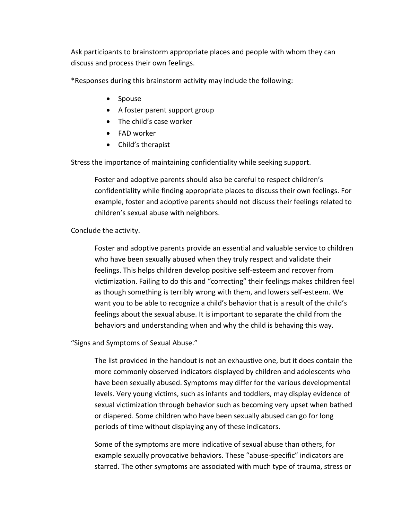Ask participants to brainstorm appropriate places and people with whom they can discuss and process their own feelings.

\*Responses during this brainstorm activity may include the following:

- Spouse
- A foster parent support group
- The child's case worker
- FAD worker
- Child's therapist

Stress the importance of maintaining confidentiality while seeking support.

Foster and adoptive parents should also be careful to respect children's confidentiality while finding appropriate places to discuss their own feelings. For example, foster and adoptive parents should not discuss their feelings related to children's sexual abuse with neighbors.

### Conclude the activity.

Foster and adoptive parents provide an essential and valuable service to children who have been sexually abused when they truly respect and validate their feelings. This helps children develop positive self-esteem and recover from victimization. Failing to do this and "correcting" their feelings makes children feel as though something is terribly wrong with them, and lowers self-esteem. We want you to be able to recognize a child's behavior that is a result of the child's feelings about the sexual abuse. It is important to separate the child from the behaviors and understanding when and why the child is behaving this way.

"Signs and Symptoms of Sexual Abuse."

The list provided in the handout is not an exhaustive one, but it does contain the more commonly observed indicators displayed by children and adolescents who have been sexually abused. Symptoms may differ for the various developmental levels. Very young victims, such as infants and toddlers, may display evidence of sexual victimization through behavior such as becoming very upset when bathed or diapered. Some children who have been sexually abused can go for long periods of time without displaying any of these indicators.

Some of the symptoms are more indicative of sexual abuse than others, for example sexually provocative behaviors. These "abuse-specific" indicators are starred. The other symptoms are associated with much type of trauma, stress or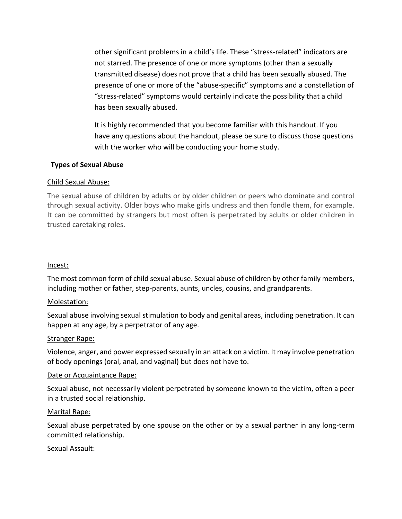other significant problems in a child's life. These "stress-related" indicators are not starred. The presence of one or more symptoms (other than a sexually transmitted disease) does not prove that a child has been sexually abused. The presence of one or more of the "abuse-specific" symptoms and a constellation of "stress-related" symptoms would certainly indicate the possibility that a child has been sexually abused.

It is highly recommended that you become familiar with this handout. If you have any questions about the handout, please be sure to discuss those questions with the worker who will be conducting your home study.

### **Types of Sexual Abuse**

#### Child Sexual Abuse:

The sexual abuse of children by adults or by older children or peers who dominate and control through sexual activity. Older boys who make girls undress and then fondle them, for example. It can be committed by strangers but most often is perpetrated by adults or older children in trusted caretaking roles.

#### Incest:

The most common form of child sexual abuse. Sexual abuse of children by other family members, including mother or father, step-parents, aunts, uncles, cousins, and grandparents.

#### Molestation:

Sexual abuse involving sexual stimulation to body and genital areas, including penetration. It can happen at any age, by a perpetrator of any age.

#### Stranger Rape:

Violence, anger, and power expressed sexually in an attack on a victim. It may involve penetration of body openings (oral, anal, and vaginal) but does not have to.

#### Date or Acquaintance Rape:

Sexual abuse, not necessarily violent perpetrated by someone known to the victim, often a peer in a trusted social relationship.

#### Marital Rape:

Sexual abuse perpetrated by one spouse on the other or by a sexual partner in any long-term committed relationship.

#### Sexual Assault: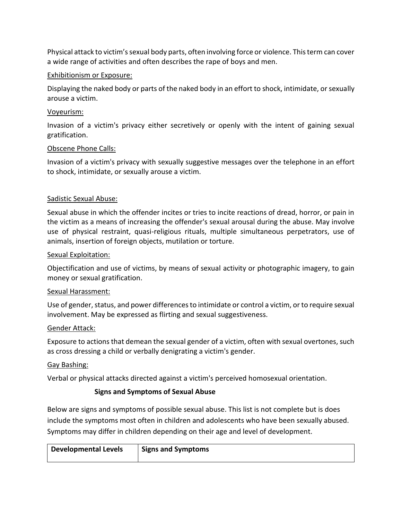Physical attack to victim's sexual body parts, often involving force or violence. This term can cover a wide range of activities and often describes the rape of boys and men.

## Exhibitionism or Exposure:

Displaying the naked body or parts of the naked body in an effort to shock, intimidate, or sexually arouse a victim.

### Voyeurism:

Invasion of a victim's privacy either secretively or openly with the intent of gaining sexual gratification.

### Obscene Phone Calls:

Invasion of a victim's privacy with sexually suggestive messages over the telephone in an effort to shock, intimidate, or sexually arouse a victim.

### Sadistic Sexual Abuse:

Sexual abuse in which the offender incites or tries to incite reactions of dread, horror, or pain in the victim as a means of increasing the offender's sexual arousal during the abuse. May involve use of physical restraint, quasi-religious rituals, multiple simultaneous perpetrators, use of animals, insertion of foreign objects, mutilation or torture.

#### Sexual Exploitation:

Objectification and use of victims, by means of sexual activity or photographic imagery, to gain money or sexual gratification.

#### Sexual Harassment:

Use of gender, status, and power differences to intimidate or control a victim, or to require sexual involvement. May be expressed as flirting and sexual suggestiveness.

#### Gender Attack:

Exposure to actions that demean the sexual gender of a victim, often with sexual overtones, such as cross dressing a child or verbally denigrating a victim's gender.

#### Gay Bashing:

Verbal or physical attacks directed against a victim's perceived homosexual orientation.

## **Signs and Symptoms of Sexual Abuse**

Below are signs and symptoms of possible sexual abuse. This list is not complete but is does include the symptoms most often in children and adolescents who have been sexually abused. Symptoms may differ in children depending on their age and level of development.

| <b>Developmental Levels</b> | <b>Signs and Symptoms</b> |
|-----------------------------|---------------------------|
|                             |                           |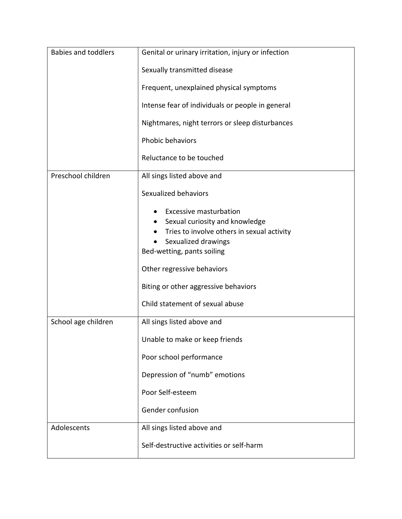| <b>Babies and toddlers</b> | Genital or urinary irritation, injury or infection                                                                                                                 |
|----------------------------|--------------------------------------------------------------------------------------------------------------------------------------------------------------------|
|                            | Sexually transmitted disease                                                                                                                                       |
|                            | Frequent, unexplained physical symptoms                                                                                                                            |
|                            | Intense fear of individuals or people in general                                                                                                                   |
|                            | Nightmares, night terrors or sleep disturbances                                                                                                                    |
|                            | Phobic behaviors                                                                                                                                                   |
|                            | Reluctance to be touched                                                                                                                                           |
| Preschool children         | All sings listed above and                                                                                                                                         |
|                            | Sexualized behaviors                                                                                                                                               |
|                            | <b>Excessive masturbation</b><br>Sexual curiosity and knowledge<br>Tries to involve others in sexual activity<br>Sexualized drawings<br>Bed-wetting, pants soiling |
|                            | Other regressive behaviors                                                                                                                                         |
|                            | Biting or other aggressive behaviors                                                                                                                               |
|                            | Child statement of sexual abuse                                                                                                                                    |
| School age children        | All sings listed above and                                                                                                                                         |
|                            | Unable to make or keep friends                                                                                                                                     |
|                            | Poor school performance                                                                                                                                            |
|                            | Depression of "numb" emotions                                                                                                                                      |
|                            | Poor Self-esteem                                                                                                                                                   |
|                            | Gender confusion                                                                                                                                                   |
| Adolescents                | All sings listed above and                                                                                                                                         |
|                            | Self-destructive activities or self-harm                                                                                                                           |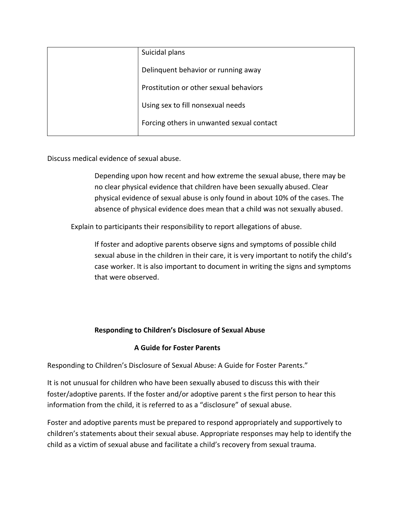| Suicidal plans                            |
|-------------------------------------------|
| Delinguent behavior or running away       |
| Prostitution or other sexual behaviors    |
| Using sex to fill nonsexual needs         |
| Forcing others in unwanted sexual contact |

Discuss medical evidence of sexual abuse.

Depending upon how recent and how extreme the sexual abuse, there may be no clear physical evidence that children have been sexually abused. Clear physical evidence of sexual abuse is only found in about 10% of the cases. The absence of physical evidence does mean that a child was not sexually abused.

Explain to participants their responsibility to report allegations of abuse.

If foster and adoptive parents observe signs and symptoms of possible child sexual abuse in the children in their care, it is very important to notify the child's case worker. It is also important to document in writing the signs and symptoms that were observed.

## **Responding to Children's Disclosure of Sexual Abuse**

## **A Guide for Foster Parents**

Responding to Children's Disclosure of Sexual Abuse: A Guide for Foster Parents."

It is not unusual for children who have been sexually abused to discuss this with their foster/adoptive parents. If the foster and/or adoptive parent s the first person to hear this information from the child, it is referred to as a "disclosure" of sexual abuse.

Foster and adoptive parents must be prepared to respond appropriately and supportively to children's statements about their sexual abuse. Appropriate responses may help to identify the child as a victim of sexual abuse and facilitate a child's recovery from sexual trauma.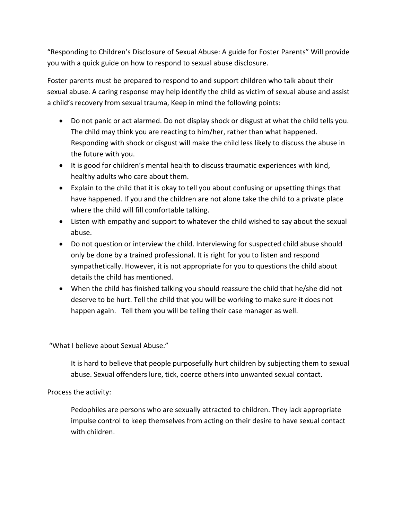"Responding to Children's Disclosure of Sexual Abuse: A guide for Foster Parents" Will provide you with a quick guide on how to respond to sexual abuse disclosure.

Foster parents must be prepared to respond to and support children who talk about their sexual abuse. A caring response may help identify the child as victim of sexual abuse and assist a child's recovery from sexual trauma, Keep in mind the following points:

- Do not panic or act alarmed. Do not display shock or disgust at what the child tells you. The child may think you are reacting to him/her, rather than what happened. Responding with shock or disgust will make the child less likely to discuss the abuse in the future with you.
- It is good for children's mental health to discuss traumatic experiences with kind, healthy adults who care about them.
- Explain to the child that it is okay to tell you about confusing or upsetting things that have happened. If you and the children are not alone take the child to a private place where the child will fill comfortable talking.
- Listen with empathy and support to whatever the child wished to say about the sexual abuse.
- Do not question or interview the child. Interviewing for suspected child abuse should only be done by a trained professional. It is right for you to listen and respond sympathetically. However, it is not appropriate for you to questions the child about details the child has mentioned.
- When the child has finished talking you should reassure the child that he/she did not deserve to be hurt. Tell the child that you will be working to make sure it does not happen again. Tell them you will be telling their case manager as well.

"What I believe about Sexual Abuse."

It is hard to believe that people purposefully hurt children by subjecting them to sexual abuse. Sexual offenders lure, tick, coerce others into unwanted sexual contact.

Process the activity:

Pedophiles are persons who are sexually attracted to children. They lack appropriate impulse control to keep themselves from acting on their desire to have sexual contact with children.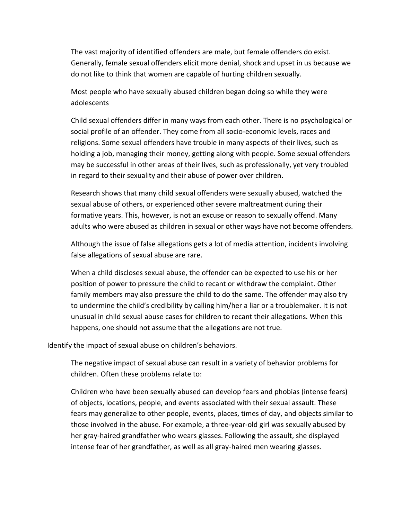The vast majority of identified offenders are male, but female offenders do exist. Generally, female sexual offenders elicit more denial, shock and upset in us because we do not like to think that women are capable of hurting children sexually.

Most people who have sexually abused children began doing so while they were adolescents

Child sexual offenders differ in many ways from each other. There is no psychological or social profile of an offender. They come from all socio-economic levels, races and religions. Some sexual offenders have trouble in many aspects of their lives, such as holding a job, managing their money, getting along with people. Some sexual offenders may be successful in other areas of their lives, such as professionally, yet very troubled in regard to their sexuality and their abuse of power over children.

Research shows that many child sexual offenders were sexually abused, watched the sexual abuse of others, or experienced other severe maltreatment during their formative years. This, however, is not an excuse or reason to sexually offend. Many adults who were abused as children in sexual or other ways have not become offenders.

Although the issue of false allegations gets a lot of media attention, incidents involving false allegations of sexual abuse are rare.

When a child discloses sexual abuse, the offender can be expected to use his or her position of power to pressure the child to recant or withdraw the complaint. Other family members may also pressure the child to do the same. The offender may also try to undermine the child's credibility by calling him/her a liar or a troublemaker. It is not unusual in child sexual abuse cases for children to recant their allegations. When this happens, one should not assume that the allegations are not true.

Identify the impact of sexual abuse on children's behaviors.

The negative impact of sexual abuse can result in a variety of behavior problems for children. Often these problems relate to:

Children who have been sexually abused can develop fears and phobias (intense fears) of objects, locations, people, and events associated with their sexual assault. These fears may generalize to other people, events, places, times of day, and objects similar to those involved in the abuse. For example, a three-year-old girl was sexually abused by her gray-haired grandfather who wears glasses. Following the assault, she displayed intense fear of her grandfather, as well as all gray-haired men wearing glasses.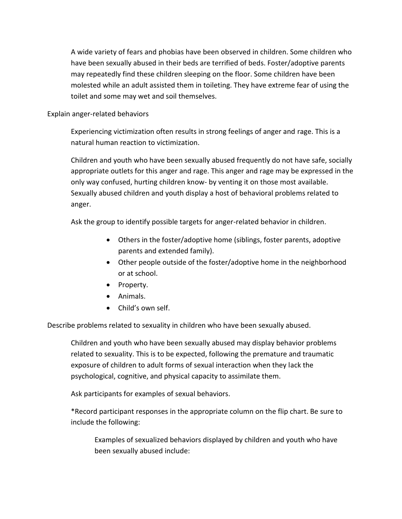A wide variety of fears and phobias have been observed in children. Some children who have been sexually abused in their beds are terrified of beds. Foster/adoptive parents may repeatedly find these children sleeping on the floor. Some children have been molested while an adult assisted them in toileting. They have extreme fear of using the toilet and some may wet and soil themselves.

#### Explain anger-related behaviors

Experiencing victimization often results in strong feelings of anger and rage. This is a natural human reaction to victimization.

Children and youth who have been sexually abused frequently do not have safe, socially appropriate outlets for this anger and rage. This anger and rage may be expressed in the only way confused, hurting children know- by venting it on those most available. Sexually abused children and youth display a host of behavioral problems related to anger.

Ask the group to identify possible targets for anger-related behavior in children.

- Others in the foster/adoptive home (siblings, foster parents, adoptive parents and extended family).
- Other people outside of the foster/adoptive home in the neighborhood or at school.
- Property.
- Animals.
- Child's own self.

Describe problems related to sexuality in children who have been sexually abused.

Children and youth who have been sexually abused may display behavior problems related to sexuality. This is to be expected, following the premature and traumatic exposure of children to adult forms of sexual interaction when they lack the psychological, cognitive, and physical capacity to assimilate them.

Ask participants for examples of sexual behaviors.

\*Record participant responses in the appropriate column on the flip chart. Be sure to include the following:

Examples of sexualized behaviors displayed by children and youth who have been sexually abused include: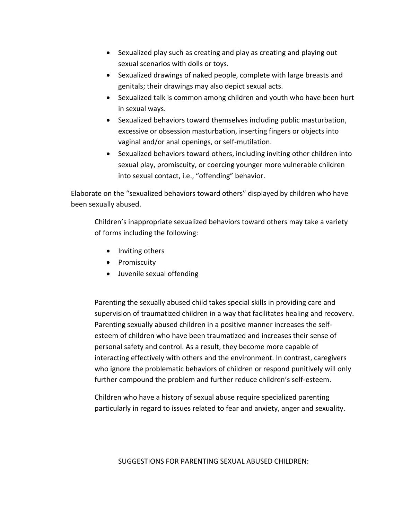- Sexualized play such as creating and play as creating and playing out sexual scenarios with dolls or toys.
- Sexualized drawings of naked people, complete with large breasts and genitals; their drawings may also depict sexual acts.
- Sexualized talk is common among children and youth who have been hurt in sexual ways.
- Sexualized behaviors toward themselves including public masturbation, excessive or obsession masturbation, inserting fingers or objects into vaginal and/or anal openings, or self-mutilation.
- Sexualized behaviors toward others, including inviting other children into sexual play, promiscuity, or coercing younger more vulnerable children into sexual contact, i.e., "offending" behavior.

Elaborate on the "sexualized behaviors toward others" displayed by children who have been sexually abused.

Children's inappropriate sexualized behaviors toward others may take a variety of forms including the following:

- Inviting others
- Promiscuity
- Juvenile sexual offending

Parenting the sexually abused child takes special skills in providing care and supervision of traumatized children in a way that facilitates healing and recovery. Parenting sexually abused children in a positive manner increases the selfesteem of children who have been traumatized and increases their sense of personal safety and control. As a result, they become more capable of interacting effectively with others and the environment. In contrast, caregivers who ignore the problematic behaviors of children or respond punitively will only further compound the problem and further reduce children's self-esteem.

Children who have a history of sexual abuse require specialized parenting particularly in regard to issues related to fear and anxiety, anger and sexuality.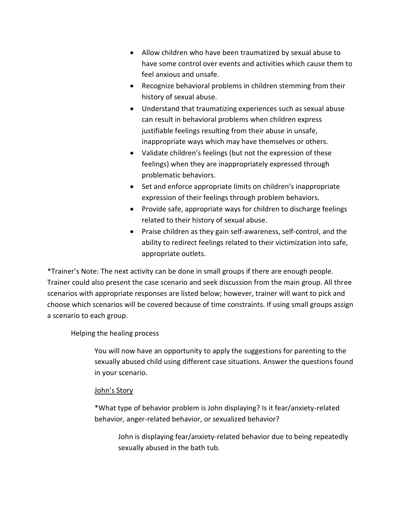- Allow children who have been traumatized by sexual abuse to have some control over events and activities which cause them to feel anxious and unsafe.
- Recognize behavioral problems in children stemming from their history of sexual abuse.
- Understand that traumatizing experiences such as sexual abuse can result in behavioral problems when children express justifiable feelings resulting from their abuse in unsafe, inappropriate ways which may have themselves or others.
- Validate children's feelings (but not the expression of these feelings) when they are inappropriately expressed through problematic behaviors.
- Set and enforce appropriate limits on children's inappropriate expression of their feelings through problem behaviors.
- Provide safe, appropriate ways for children to discharge feelings related to their history of sexual abuse.
- Praise children as they gain self-awareness, self-control, and the ability to redirect feelings related to their victimization into safe, appropriate outlets.

\*Trainer's Note: The next activity can be done in small groups if there are enough people. Trainer could also present the case scenario and seek discussion from the main group. All three scenarios with appropriate responses are listed below; however, trainer will want to pick and choose which scenarios will be covered because of time constraints. If using small groups assign a scenario to each group.

## Helping the healing process

You will now have an opportunity to apply the suggestions for parenting to the sexually abused child using different case situations. Answer the questions found in your scenario.

## John's Story

\*What type of behavior problem is John displaying? Is it fear/anxiety-related behavior, anger-related behavior, or sexualized behavior?

John is displaying fear/anxiety-related behavior due to being repeatedly sexually abused in the bath tub.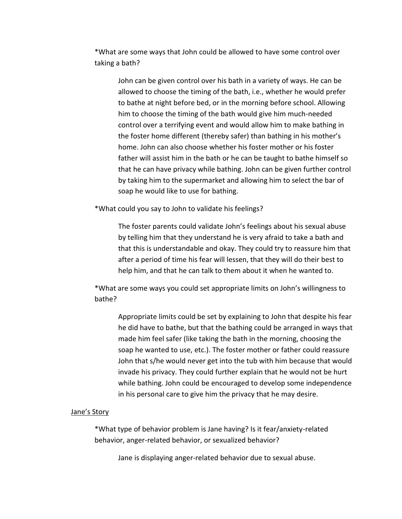\*What are some ways that John could be allowed to have some control over taking a bath?

John can be given control over his bath in a variety of ways. He can be allowed to choose the timing of the bath, i.e., whether he would prefer to bathe at night before bed, or in the morning before school. Allowing him to choose the timing of the bath would give him much-needed control over a terrifying event and would allow him to make bathing in the foster home different (thereby safer) than bathing in his mother's home. John can also choose whether his foster mother or his foster father will assist him in the bath or he can be taught to bathe himself so that he can have privacy while bathing. John can be given further control by taking him to the supermarket and allowing him to select the bar of soap he would like to use for bathing.

\*What could you say to John to validate his feelings?

The foster parents could validate John's feelings about his sexual abuse by telling him that they understand he is very afraid to take a bath and that this is understandable and okay. They could try to reassure him that after a period of time his fear will lessen, that they will do their best to help him, and that he can talk to them about it when he wanted to.

\*What are some ways you could set appropriate limits on John's willingness to bathe?

Appropriate limits could be set by explaining to John that despite his fear he did have to bathe, but that the bathing could be arranged in ways that made him feel safer (like taking the bath in the morning, choosing the soap he wanted to use, etc.). The foster mother or father could reassure John that s/he would never get into the tub with him because that would invade his privacy. They could further explain that he would not be hurt while bathing. John could be encouraged to develop some independence in his personal care to give him the privacy that he may desire.

#### Jane's Story

\*What type of behavior problem is Jane having? Is it fear/anxiety-related behavior, anger-related behavior, or sexualized behavior?

Jane is displaying anger-related behavior due to sexual abuse.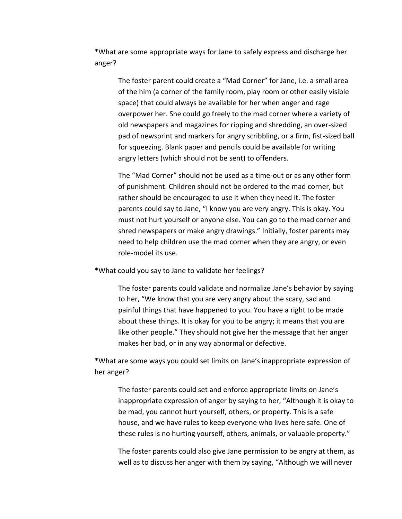\*What are some appropriate ways for Jane to safely express and discharge her anger?

The foster parent could create a "Mad Corner" for Jane, i.e. a small area of the him (a corner of the family room, play room or other easily visible space) that could always be available for her when anger and rage overpower her. She could go freely to the mad corner where a variety of old newspapers and magazines for ripping and shredding, an over-sized pad of newsprint and markers for angry scribbling, or a firm, fist-sized ball for squeezing. Blank paper and pencils could be available for writing angry letters (which should not be sent) to offenders.

The "Mad Corner" should not be used as a time-out or as any other form of punishment. Children should not be ordered to the mad corner, but rather should be encouraged to use it when they need it. The foster parents could say to Jane, "I know you are very angry. This is okay. You must not hurt yourself or anyone else. You can go to the mad corner and shred newspapers or make angry drawings." Initially, foster parents may need to help children use the mad corner when they are angry, or even role-model its use.

\*What could you say to Jane to validate her feelings?

The foster parents could validate and normalize Jane's behavior by saying to her, "We know that you are very angry about the scary, sad and painful things that have happened to you. You have a right to be made about these things. It is okay for you to be angry; it means that you are like other people." They should not give her the message that her anger makes her bad, or in any way abnormal or defective.

\*What are some ways you could set limits on Jane's inappropriate expression of her anger?

The foster parents could set and enforce appropriate limits on Jane's inappropriate expression of anger by saying to her, "Although it is okay to be mad, you cannot hurt yourself, others, or property. This is a safe house, and we have rules to keep everyone who lives here safe. One of these rules is no hurting yourself, others, animals, or valuable property."

The foster parents could also give Jane permission to be angry at them, as well as to discuss her anger with them by saying, "Although we will never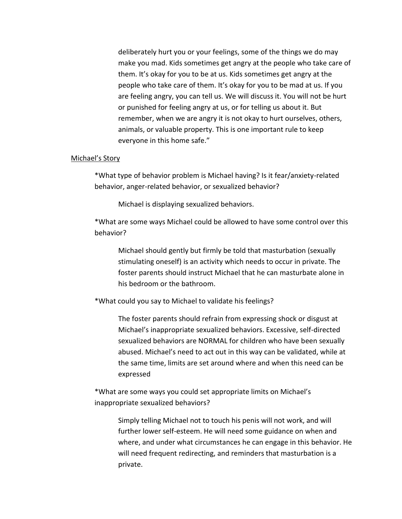deliberately hurt you or your feelings, some of the things we do may make you mad. Kids sometimes get angry at the people who take care of them. It's okay for you to be at us. Kids sometimes get angry at the people who take care of them. It's okay for you to be mad at us. If you are feeling angry, you can tell us. We will discuss it. You will not be hurt or punished for feeling angry at us, or for telling us about it. But remember, when we are angry it is not okay to hurt ourselves, others, animals, or valuable property. This is one important rule to keep everyone in this home safe."

#### Michael's Story

\*What type of behavior problem is Michael having? Is it fear/anxiety-related behavior, anger-related behavior, or sexualized behavior?

Michael is displaying sexualized behaviors.

\*What are some ways Michael could be allowed to have some control over this behavior?

Michael should gently but firmly be told that masturbation (sexually stimulating oneself) is an activity which needs to occur in private. The foster parents should instruct Michael that he can masturbate alone in his bedroom or the bathroom.

\*What could you say to Michael to validate his feelings?

The foster parents should refrain from expressing shock or disgust at Michael's inappropriate sexualized behaviors. Excessive, self-directed sexualized behaviors are NORMAL for children who have been sexually abused. Michael's need to act out in this way can be validated, while at the same time, limits are set around where and when this need can be expressed

\*What are some ways you could set appropriate limits on Michael's inappropriate sexualized behaviors?

> Simply telling Michael not to touch his penis will not work, and will further lower self-esteem. He will need some guidance on when and where, and under what circumstances he can engage in this behavior. He will need frequent redirecting, and reminders that masturbation is a private.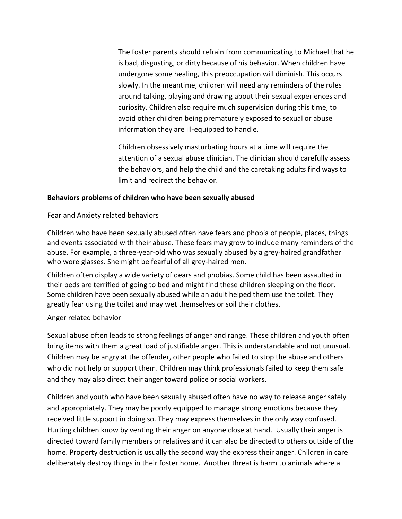The foster parents should refrain from communicating to Michael that he is bad, disgusting, or dirty because of his behavior. When children have undergone some healing, this preoccupation will diminish. This occurs slowly. In the meantime, children will need any reminders of the rules around talking, playing and drawing about their sexual experiences and curiosity. Children also require much supervision during this time, to avoid other children being prematurely exposed to sexual or abuse information they are ill-equipped to handle.

Children obsessively masturbating hours at a time will require the attention of a sexual abuse clinician. The clinician should carefully assess the behaviors, and help the child and the caretaking adults find ways to limit and redirect the behavior.

### **Behaviors problems of children who have been sexually abused**

#### Fear and Anxiety related behaviors

Children who have been sexually abused often have fears and phobia of people, places, things and events associated with their abuse. These fears may grow to include many reminders of the abuse. For example, a three-year-old who was sexually abused by a grey-haired grandfather who wore glasses. She might be fearful of all grey-haired men.

Children often display a wide variety of dears and phobias. Some child has been assaulted in their beds are terrified of going to bed and might find these children sleeping on the floor. Some children have been sexually abused while an adult helped them use the toilet. They greatly fear using the toilet and may wet themselves or soil their clothes.

#### Anger related behavior

Sexual abuse often leads to strong feelings of anger and range. These children and youth often bring items with them a great load of justifiable anger. This is understandable and not unusual. Children may be angry at the offender, other people who failed to stop the abuse and others who did not help or support them. Children may think professionals failed to keep them safe and they may also direct their anger toward police or social workers.

Children and youth who have been sexually abused often have no way to release anger safely and appropriately. They may be poorly equipped to manage strong emotions because they received little support in doing so. They may express themselves in the only way confused. Hurting children know by venting their anger on anyone close at hand. Usually their anger is directed toward family members or relatives and it can also be directed to others outside of the home. Property destruction is usually the second way the express their anger. Children in care deliberately destroy things in their foster home. Another threat is harm to animals where a